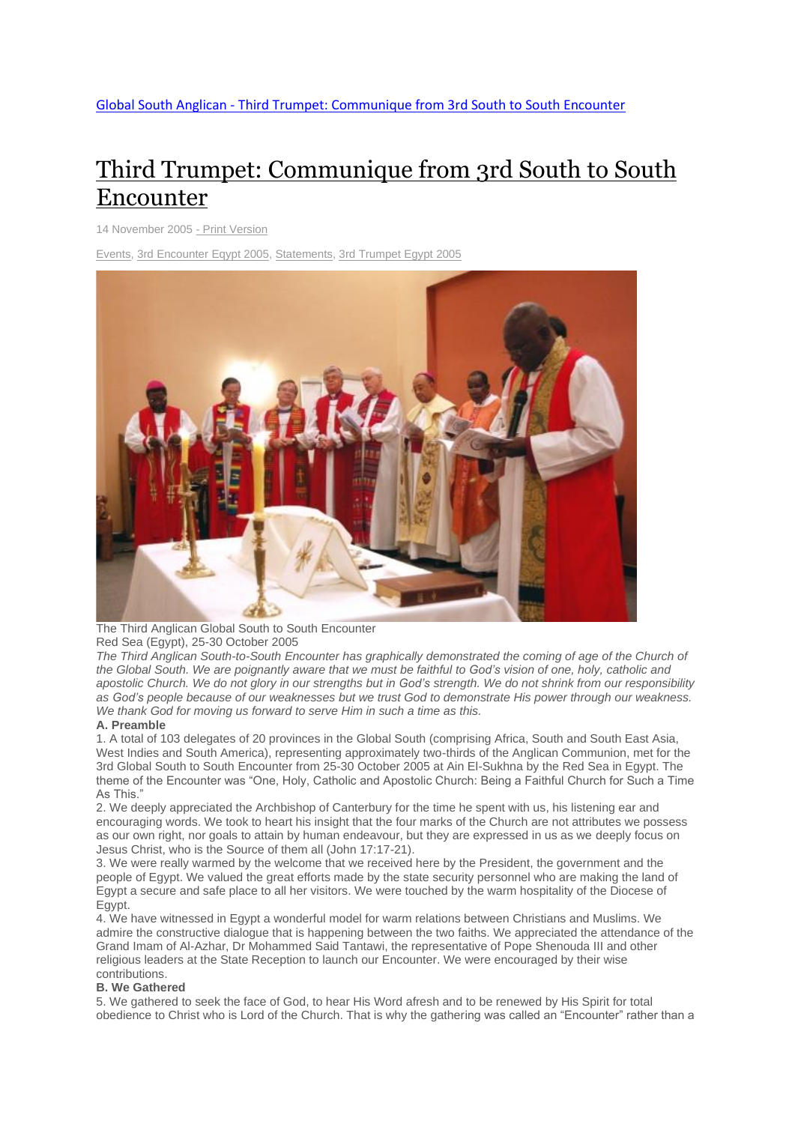# Third Trumpet: [Communique](http://www.globalsouthanglican.org/index.php/blog/comments/third_trumpet_communique_from_3rd_south_to_south_encounter) from 3rd South to South [Encounter](http://www.globalsouthanglican.org/index.php/blog/comments/third_trumpet_communique_from_3rd_south_to_south_encounter)

14 November 2005 - Print [Version](http://globalsouthanglican.org/index.php/blog/printing/third_trumpet_communique_from_3rd_south_to_south_encounter)

[Events,](http://globalsouthanglican.org/index.php/archives/category/events) 3rd [Encounter](http://globalsouthanglican.org/index.php/archives/category/3rd_encounter_eqypt_2005) Eqypt 2005, [Statements,](http://globalsouthanglican.org/index.php/archives/category/statements) 3rd [Trumpet](http://globalsouthanglican.org/index.php/archives/category/3rd_trumpet_egypt_2005) Egypt 2005



The Third Anglican Global South to South Encounter Red Sea (Egypt), 25-30 October 2005

*The Third Anglican South-to-South Encounter has graphically demonstrated the coming of age of the Church of* the Global South. We are poignantly aware that we must be faithful to God's vision of one, holy, catholic and apostolic Church. We do not glory in our strengths but in God's strength. We do not shrink from our responsibility as God's people because of our weaknesses but we trust God to demonstrate His power through our weakness. *We thank God for moving us forward to serve Him in such a time as this.*

# **A. Preamble**

1. A total of 103 delegates of 20 provinces in the Global South (comprising Africa, South and South East Asia, West Indies and South America), representing approximately two-thirds of the Anglican Communion, met for the 3rd Global South to South Encounter from 25-30 October 2005 at Ain El-Sukhna by the Red Sea in Egypt. The theme of the Encounter was "One, Holy, Catholic and Apostolic Church: Being a Faithful Church for Such a Time As This."

2. We deeply appreciated the Archbishop of Canterbury for the time he spent with us, his listening ear and encouraging words. We took to heart his insight that the four marks of the Church are not attributes we possess as our own right, nor goals to attain by human endeavour, but they are expressed in us as we deeply focus on Jesus Christ, who is the Source of them all (John 17:17-21).

3. We were really warmed by the welcome that we received here by the President, the government and the people of Egypt. We valued the great efforts made by the state security personnel who are making the land of Egypt a secure and safe place to all her visitors. We were touched by the warm hospitality of the Diocese of Egypt.

4. We have witnessed in Egypt a wonderful model for warm relations between Christians and Muslims. We admire the constructive dialogue that is happening between the two faiths. We appreciated the attendance of the Grand Imam of Al-Azhar, Dr Mohammed Said Tantawi, the representative of Pope Shenouda III and other religious leaders at the State Reception to launch our Encounter. We were encouraged by their wise contributions.

# **B. We Gathered**

5. We gathered to seek the face of God, to hear His Word afresh and to be renewed by His Spirit for total obedience to Christ who is Lord of the Church. That is why the gathering was called an "Encounter" rather than a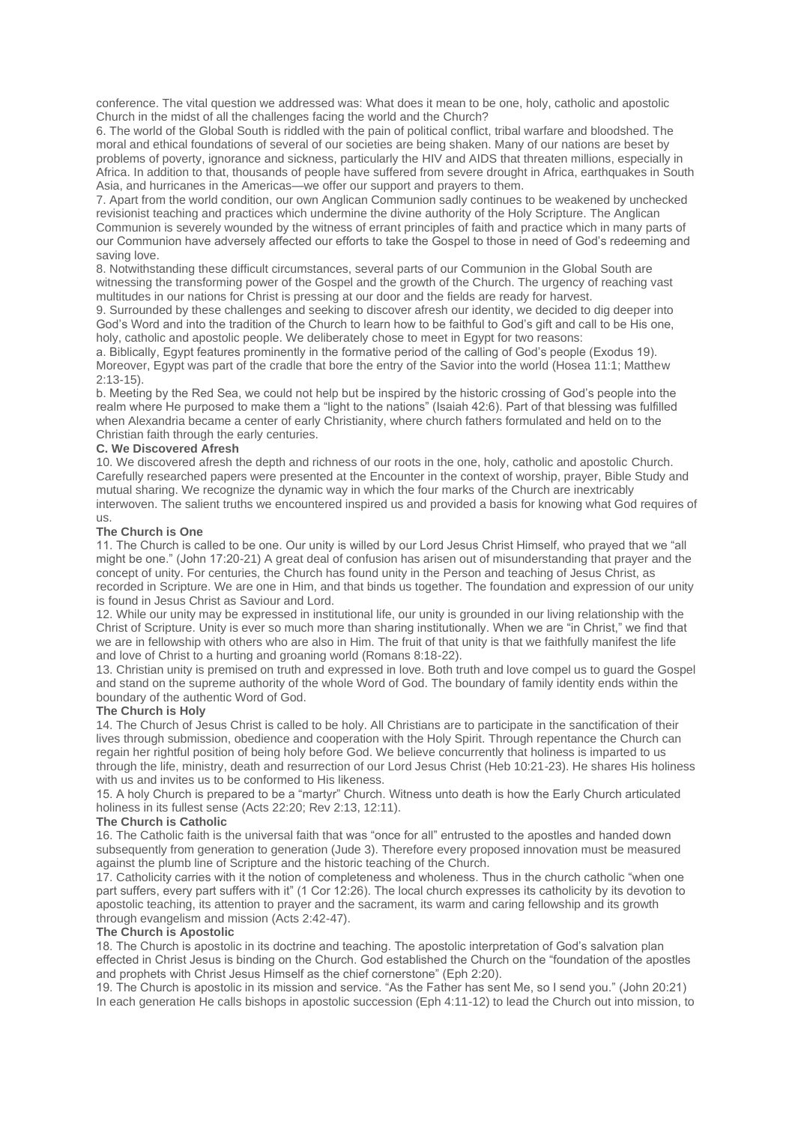conference. The vital question we addressed was: What does it mean to be one, holy, catholic and apostolic Church in the midst of all the challenges facing the world and the Church?

6. The world of the Global South is riddled with the pain of political conflict, tribal warfare and bloodshed. The moral and ethical foundations of several of our societies are being shaken. Many of our nations are beset by problems of poverty, ignorance and sickness, particularly the HIV and AIDS that threaten millions, especially in Africa. In addition to that, thousands of people have suffered from severe drought in Africa, earthquakes in South Asia, and hurricanes in the Americas—we offer our support and prayers to them.

7. Apart from the world condition, our own Anglican Communion sadly continues to be weakened by unchecked revisionist teaching and practices which undermine the divine authority of the Holy Scripture. The Anglican Communion is severely wounded by the witness of errant principles of faith and practice which in many parts of our Communion have adversely affected our efforts to take the Gospel to those in need of God's redeeming and saving love.

8. Notwithstanding these difficult circumstances, several parts of our Communion in the Global South are witnessing the transforming power of the Gospel and the growth of the Church. The urgency of reaching vast multitudes in our nations for Christ is pressing at our door and the fields are ready for harvest.

9. Surrounded by these challenges and seeking to discover afresh our identity, we decided to dig deeper into God's Word and into the tradition of the Church to learn how to be faithful to God's gift and call to be His one, holy, catholic and apostolic people. We deliberately chose to meet in Egypt for two reasons:

a. Biblically, Egypt features prominently in the formative period of the calling of God's people (Exodus 19). Moreover, Egypt was part of the cradle that bore the entry of the Savior into the world (Hosea 11:1; Matthew 2:13-15).

b. Meeting by the Red Sea, we could not help but be inspired by the historic crossing of God's people into the realm where He purposed to make them a "light to the nations" (Isaiah 42:6). Part of that blessing was fulfilled when Alexandria became a center of early Christianity, where church fathers formulated and held on to the Christian faith through the early centuries.

# **C. We Discovered Afresh**

10. We discovered afresh the depth and richness of our roots in the one, holy, catholic and apostolic Church. Carefully researched papers were presented at the Encounter in the context of worship, prayer, Bible Study and mutual sharing. We recognize the dynamic way in which the four marks of the Church are inextricably interwoven. The salient truths we encountered inspired us and provided a basis for knowing what God requires of us.

## **The Church is One**

11. The Church is called to be one. Our unity is willed by our Lord Jesus Christ Himself, who prayed that we "all might be one." (John 17:20-21) A great deal of confusion has arisen out of misunderstanding that prayer and the concept of unity. For centuries, the Church has found unity in the Person and teaching of Jesus Christ, as recorded in Scripture. We are one in Him, and that binds us together. The foundation and expression of our unity is found in Jesus Christ as Saviour and Lord.

12. While our unity may be expressed in institutional life, our unity is grounded in our living relationship with the Christ of Scripture. Unity is ever so much more than sharing institutionally. When we are "in Christ," we find that we are in fellowship with others who are also in Him. The fruit of that unity is that we faithfully manifest the life and love of Christ to a hurting and groaning world (Romans 8:18-22).

13. Christian unity is premised on truth and expressed in love. Both truth and love compel us to guard the Gospel and stand on the supreme authority of the whole Word of God. The boundary of family identity ends within the boundary of the authentic Word of God.

## **The Church is Holy**

14. The Church of Jesus Christ is called to be holy. All Christians are to participate in the sanctification of their lives through submission, obedience and cooperation with the Holy Spirit. Through repentance the Church can regain her rightful position of being holy before God. We believe concurrently that holiness is imparted to us through the life, ministry, death and resurrection of our Lord Jesus Christ (Heb 10:21-23). He shares His holiness with us and invites us to be conformed to His likeness.

15. A holy Church is prepared to be a "martyr" Church. Witness unto death is how the Early Church articulated holiness in its fullest sense (Acts 22:20; Rev 2:13, 12:11).

## **The Church is Catholic**

16. The Catholic faith is the universal faith that was "once for all" entrusted to the apostles and handed down subsequently from generation to generation (Jude 3). Therefore every proposed innovation must be measured against the plumb line of Scripture and the historic teaching of the Church.

17. Catholicity carries with it the notion of completeness and wholeness. Thus in the church catholic "when one part suffers, every part suffers with it" (1 Cor 12:26). The local church expresses its catholicity by its devotion to apostolic teaching, its attention to prayer and the sacrament, its warm and caring fellowship and its growth through evangelism and mission (Acts 2:42-47).

## **The Church is Apostolic**

18. The Church is apostolic in its doctrine and teaching. The apostolic interpretation of God's salvation plan effected in Christ Jesus is binding on the Church. God established the Church on the "foundation of the apostles and prophets with Christ Jesus Himself as the chief cornerstone" (Eph 2:20).

19. The Church is apostolic in its mission and service. "As the Father has sent Me, so I send you." (John 20:21) In each generation He calls bishops in apostolic succession (Eph 4:11-12) to lead the Church out into mission, to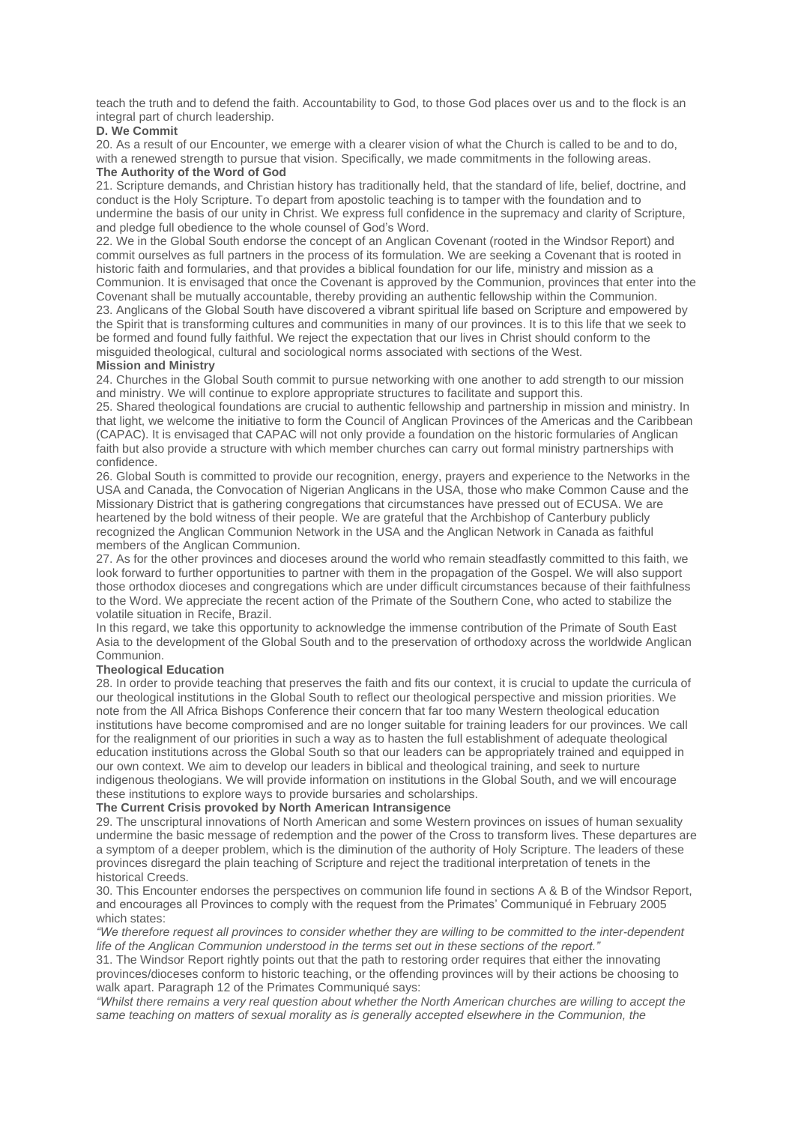teach the truth and to defend the faith. Accountability to God, to those God places over us and to the flock is an integral part of church leadership.

## **D. We Commit**

20. As a result of our Encounter, we emerge with a clearer vision of what the Church is called to be and to do, with a renewed strength to pursue that vision. Specifically, we made commitments in the following areas. **The Authority of the Word of God**

21. Scripture demands, and Christian history has traditionally held, that the standard of life, belief, doctrine, and conduct is the Holy Scripture. To depart from apostolic teaching is to tamper with the foundation and to undermine the basis of our unity in Christ. We express full confidence in the supremacy and clarity of Scripture, and pledge full obedience to the whole counsel of God's Word.

22. We in the Global South endorse the concept of an Anglican Covenant (rooted in the Windsor Report) and commit ourselves as full partners in the process of its formulation. We are seeking a Covenant that is rooted in historic faith and formularies, and that provides a biblical foundation for our life, ministry and mission as a Communion. It is envisaged that once the Covenant is approved by the Communion, provinces that enter into the Covenant shall be mutually accountable, thereby providing an authentic fellowship within the Communion. 23. Anglicans of the Global South have discovered a vibrant spiritual life based on Scripture and empowered by the Spirit that is transforming cultures and communities in many of our provinces. It is to this life that we seek to be formed and found fully faithful. We reject the expectation that our lives in Christ should conform to the misguided theological, cultural and sociological norms associated with sections of the West.

# **Mission and Ministry**

24. Churches in the Global South commit to pursue networking with one another to add strength to our mission and ministry. We will continue to explore appropriate structures to facilitate and support this.

25. Shared theological foundations are crucial to authentic fellowship and partnership in mission and ministry. In that light, we welcome the initiative to form the Council of Anglican Provinces of the Americas and the Caribbean (CAPAC). It is envisaged that CAPAC will not only provide a foundation on the historic formularies of Anglican faith but also provide a structure with which member churches can carry out formal ministry partnerships with confidence.

26. Global South is committed to provide our recognition, energy, prayers and experience to the Networks in the USA and Canada, the Convocation of Nigerian Anglicans in the USA, those who make Common Cause and the Missionary District that is gathering congregations that circumstances have pressed out of ECUSA. We are heartened by the bold witness of their people. We are grateful that the Archbishop of Canterbury publicly recognized the Anglican Communion Network in the USA and the Anglican Network in Canada as faithful members of the Anglican Communion.

27. As for the other provinces and dioceses around the world who remain steadfastly committed to this faith, we look forward to further opportunities to partner with them in the propagation of the Gospel. We will also support those orthodox dioceses and congregations which are under difficult circumstances because of their faithfulness to the Word. We appreciate the recent action of the Primate of the Southern Cone, who acted to stabilize the volatile situation in Recife, Brazil.

In this regard, we take this opportunity to acknowledge the immense contribution of the Primate of South East Asia to the development of the Global South and to the preservation of orthodoxy across the worldwide Anglican Communion.

## **Theological Education**

28. In order to provide teaching that preserves the faith and fits our context, it is crucial to update the curricula of our theological institutions in the Global South to reflect our theological perspective and mission priorities. We note from the All Africa Bishops Conference their concern that far too many Western theological education institutions have become compromised and are no longer suitable for training leaders for our provinces. We call for the realignment of our priorities in such a way as to hasten the full establishment of adequate theological education institutions across the Global South so that our leaders can be appropriately trained and equipped in our own context. We aim to develop our leaders in biblical and theological training, and seek to nurture indigenous theologians. We will provide information on institutions in the Global South, and we will encourage these institutions to explore ways to provide bursaries and scholarships.

## **The Current Crisis provoked by North American Intransigence**

29. The unscriptural innovations of North American and some Western provinces on issues of human sexuality undermine the basic message of redemption and the power of the Cross to transform lives. These departures are a symptom of a deeper problem, which is the diminution of the authority of Holy Scripture. The leaders of these provinces disregard the plain teaching of Scripture and reject the traditional interpretation of tenets in the historical Creeds.

30. This Encounter endorses the perspectives on communion life found in sections A & B of the Windsor Report, and encourages all Provinces to comply with the request from the Primates' Communiqué in February 2005 which states:

"We therefore request all provinces to consider whether they are willing to be committed to the inter-dependent *life of the Anglican Communion understood in the terms set out in these sections of the report."*

31. The Windsor Report rightly points out that the path to restoring order requires that either the innovating provinces/dioceses conform to historic teaching, or the offending provinces will by their actions be choosing to walk apart. Paragraph 12 of the Primates Communiqué says:

"Whilst there remains a very real question about whether the North American churches are willing to accept the *same teaching on matters of sexual morality as is generally accepted elsewhere in the Communion, the*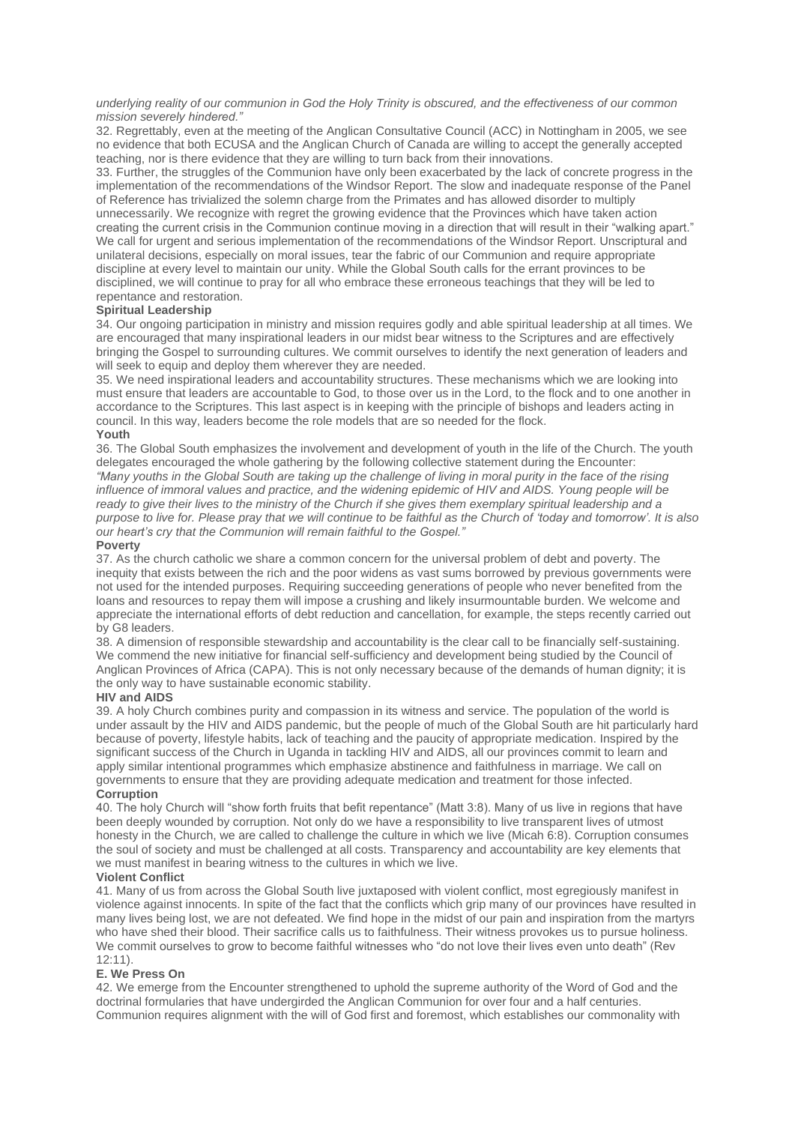underlying reality of our communion in God the Holy Trinity is obscured, and the effectiveness of our common *mission severely hindered."*

32. Regrettably, even at the meeting of the Anglican Consultative Council (ACC) in Nottingham in 2005, we see no evidence that both ECUSA and the Anglican Church of Canada are willing to accept the generally accepted teaching, nor is there evidence that they are willing to turn back from their innovations.

33. Further, the struggles of the Communion have only been exacerbated by the lack of concrete progress in the implementation of the recommendations of the Windsor Report. The slow and inadequate response of the Panel of Reference has trivialized the solemn charge from the Primates and has allowed disorder to multiply unnecessarily. We recognize with regret the growing evidence that the Provinces which have taken action creating the current crisis in the Communion continue moving in a direction that will result in their "walking apart." We call for urgent and serious implementation of the recommendations of the Windsor Report. Unscriptural and unilateral decisions, especially on moral issues, tear the fabric of our Communion and require appropriate discipline at every level to maintain our unity. While the Global South calls for the errant provinces to be disciplined, we will continue to pray for all who embrace these erroneous teachings that they will be led to repentance and restoration.

# **Spiritual Leadership**

34. Our ongoing participation in ministry and mission requires godly and able spiritual leadership at all times. We are encouraged that many inspirational leaders in our midst bear witness to the Scriptures and are effectively bringing the Gospel to surrounding cultures. We commit ourselves to identify the next generation of leaders and will seek to equip and deploy them wherever they are needed.

35. We need inspirational leaders and accountability structures. These mechanisms which we are looking into must ensure that leaders are accountable to God, to those over us in the Lord, to the flock and to one another in accordance to the Scriptures. This last aspect is in keeping with the principle of bishops and leaders acting in council. In this way, leaders become the role models that are so needed for the flock.

## **Youth**

36. The Global South emphasizes the involvement and development of youth in the life of the Church. The youth delegates encouraged the whole gathering by the following collective statement during the Encounter: "Many youths in the Global South are taking up the challenge of living in moral purity in the face of the rising influence of immoral values and practice, and the widening epidemic of HIV and AIDS. Young people will be ready to give their lives to the ministry of the Church if she gives them exemplary spiritual leadership and a purpose to live for. Please pray that we will continue to be faithful as the Church of 'today and tomorrow'. It is also *our heart's cry that the Communion will remain faithful to the Gospel."*

# **Poverty**

37. As the church catholic we share a common concern for the universal problem of debt and poverty. The inequity that exists between the rich and the poor widens as vast sums borrowed by previous governments were not used for the intended purposes. Requiring succeeding generations of people who never benefited from the loans and resources to repay them will impose a crushing and likely insurmountable burden. We welcome and appreciate the international efforts of debt reduction and cancellation, for example, the steps recently carried out by G8 leaders.

38. A dimension of responsible stewardship and accountability is the clear call to be financially self-sustaining. We commend the new initiative for financial self-sufficiency and development being studied by the Council of Anglican Provinces of Africa (CAPA). This is not only necessary because of the demands of human dignity; it is the only way to have sustainable economic stability.

# **HIV and AIDS**

39. A holy Church combines purity and compassion in its witness and service. The population of the world is under assault by the HIV and AIDS pandemic, but the people of much of the Global South are hit particularly hard because of poverty, lifestyle habits, lack of teaching and the paucity of appropriate medication. Inspired by the significant success of the Church in Uganda in tackling HIV and AIDS, all our provinces commit to learn and apply similar intentional programmes which emphasize abstinence and faithfulness in marriage. We call on governments to ensure that they are providing adequate medication and treatment for those infected. **Corruption**

40. The holy Church will "show forth fruits that befit repentance" (Matt 3:8). Many of us live in regions that have been deeply wounded by corruption. Not only do we have a responsibility to live transparent lives of utmost honesty in the Church, we are called to challenge the culture in which we live (Micah 6:8). Corruption consumes the soul of society and must be challenged at all costs. Transparency and accountability are key elements that we must manifest in bearing witness to the cultures in which we live.

# **Violent Conflict**

41. Many of us from across the Global South live juxtaposed with violent conflict, most egregiously manifest in violence against innocents. In spite of the fact that the conflicts which grip many of our provinces have resulted in many lives being lost, we are not defeated. We find hope in the midst of our pain and inspiration from the martyrs who have shed their blood. Their sacrifice calls us to faithfulness. Their witness provokes us to pursue holiness. We commit ourselves to grow to become faithful witnesses who "do not love their lives even unto death" (Rev 12:11).

## **E. We Press On**

42. We emerge from the Encounter strengthened to uphold the supreme authority of the Word of God and the doctrinal formularies that have undergirded the Anglican Communion for over four and a half centuries. Communion requires alignment with the will of God first and foremost, which establishes our commonality with